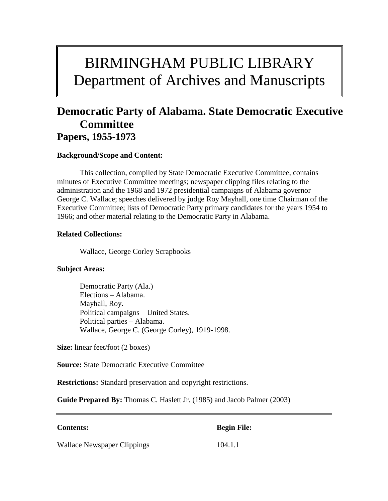# BIRMINGHAM PUBLIC LIBRARY Department of Archives and Manuscripts

## **Democratic Party of Alabama. State Democratic Executive Committee Papers, 1955-1973**

#### **Background/Scope and Content:**

This collection, compiled by State Democratic Executive Committee, contains minutes of Executive Committee meetings; newspaper clipping files relating to the administration and the 1968 and 1972 presidential campaigns of Alabama governor George C. Wallace; speeches delivered by judge Roy Mayhall, one time Chairman of the Executive Committee; lists of Democratic Party primary candidates for the years 1954 to 1966; and other material relating to the Democratic Party in Alabama.

#### **Related Collections:**

Wallace, George Corley Scrapbooks

#### **Subject Areas:**

Democratic Party (Ala.) Elections – Alabama. Mayhall, Roy. Political campaigns – United States. Political parties – Alabama. Wallace, George C. (George Corley), 1919-1998.

**Size:** linear feet/foot (2 boxes)

**Source:** State Democratic Executive Committee

**Restrictions:** Standard preservation and copyright restrictions.

**Guide Prepared By:** Thomas C. Haslett Jr. (1985) and Jacob Palmer (2003)

**Contents: Begin File:**

Wallace Newspaper Clippings 104.1.1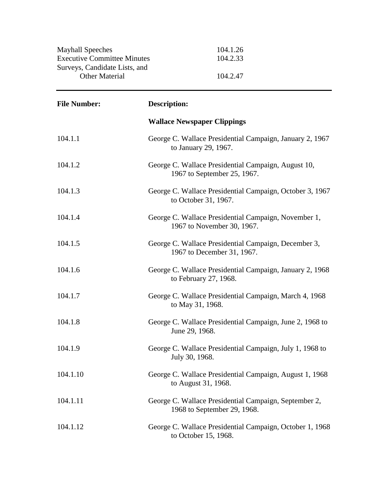| <b>Mayhall Speeches</b>            | 104.1.26 |
|------------------------------------|----------|
| <b>Executive Committee Minutes</b> | 104.2.33 |
| Surveys, Candidate Lists, and      |          |
| <b>Other Material</b>              | 104.2.47 |

| <b>File Number:</b> | <b>Description:</b>                                                                  |
|---------------------|--------------------------------------------------------------------------------------|
|                     | <b>Wallace Newspaper Clippings</b>                                                   |
| 104.1.1             | George C. Wallace Presidential Campaign, January 2, 1967<br>to January 29, 1967.     |
| 104.1.2             | George C. Wallace Presidential Campaign, August 10,<br>1967 to September 25, 1967.   |
| 104.1.3             | George C. Wallace Presidential Campaign, October 3, 1967<br>to October 31, 1967.     |
| 104.1.4             | George C. Wallace Presidential Campaign, November 1,<br>1967 to November 30, 1967.   |
| 104.1.5             | George C. Wallace Presidential Campaign, December 3,<br>1967 to December 31, 1967.   |
| 104.1.6             | George C. Wallace Presidential Campaign, January 2, 1968<br>to February 27, 1968.    |
| 104.1.7             | George C. Wallace Presidential Campaign, March 4, 1968<br>to May 31, 1968.           |
| 104.1.8             | George C. Wallace Presidential Campaign, June 2, 1968 to<br>June 29, 1968.           |
| 104.1.9             | George C. Wallace Presidential Campaign, July 1, 1968 to<br>July 30, 1968.           |
| 104.1.10            | George C. Wallace Presidential Campaign, August 1, 1968<br>to August 31, 1968.       |
| 104.1.11            | George C. Wallace Presidential Campaign, September 2,<br>1968 to September 29, 1968. |
| 104.1.12            | George C. Wallace Presidential Campaign, October 1, 1968<br>to October 15, 1968.     |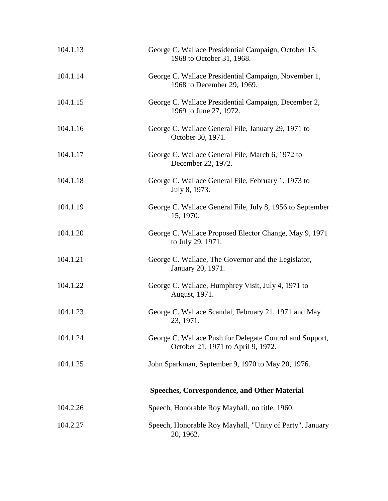| 104.1.13 | George C. Wallace Presidential Campaign, October 15,<br>1968 to October 31, 1968.              |
|----------|------------------------------------------------------------------------------------------------|
| 104.1.14 | George C. Wallace Presidential Campaign, November 1,<br>1968 to December 29, 1969.             |
| 104.1.15 | George C. Wallace Presidential Campaign, December 2,<br>1969 to June 27, 1972.                 |
| 104.1.16 | George C. Wallace General File, January 29, 1971 to<br>October 30, 1971.                       |
| 104.1.17 | George C. Wallace General File, March 6, 1972 to<br>December 22, 1972.                         |
| 104.1.18 | George C. Wallace General File, February 1, 1973 to<br>July 8, 1973.                           |
| 104.1.19 | George C. Wallace General File, July 8, 1956 to September<br>15, 1970.                         |
| 104.1.20 | George C. Wallace Proposed Elector Change, May 9, 1971<br>to July 29, 1971.                    |
| 104.1.21 | George C. Wallace, The Governor and the Legislator,<br>January 20, 1971.                       |
| 104.1.22 | George C. Wallace, Humphrey Visit, July 4, 1971 to<br>August, 1971.                            |
| 104.1.23 | George C. Wallace Scandal, February 21, 1971 and May<br>23, 1971.                              |
| 104.1.24 | George C. Wallace Push for Delegate Control and Support,<br>October 21, 1971 to April 9, 1972. |
| 104.1.25 | John Sparkman, September 9, 1970 to May 20, 1976.                                              |
|          | <b>Speeches, Correspondence, and Other Material</b>                                            |
| 104.2.26 | Speech, Honorable Roy Mayhall, no title, 1960.                                                 |
| 104.2.27 | Speech, Honorable Roy Mayhall, "Unity of Party", January<br>20, 1962.                          |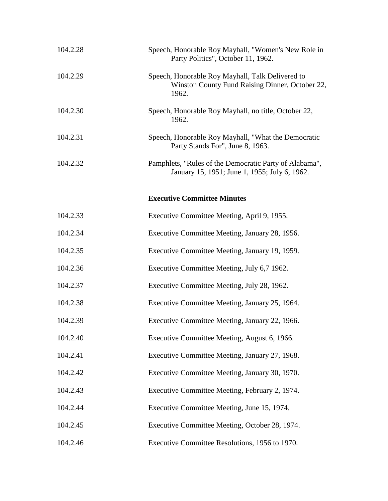| 104.2.28 | Speech, Honorable Roy Mayhall, "Women's New Role in<br>Party Politics", October 11, 1962.                    |
|----------|--------------------------------------------------------------------------------------------------------------|
| 104.2.29 | Speech, Honorable Roy Mayhall, Talk Delivered to<br>Winston County Fund Raising Dinner, October 22,<br>1962. |
| 104.2.30 | Speech, Honorable Roy Mayhall, no title, October 22,<br>1962.                                                |
| 104.2.31 | Speech, Honorable Roy Mayhall, "What the Democratic<br>Party Stands For", June 8, 1963.                      |
| 104.2.32 | Pamphlets, "Rules of the Democratic Party of Alabama",<br>January 15, 1951; June 1, 1955; July 6, 1962.      |
|          | <b>Executive Committee Minutes</b>                                                                           |
| 104.2.33 | Executive Committee Meeting, April 9, 1955.                                                                  |
| 104.2.34 | Executive Committee Meeting, January 28, 1956.                                                               |
| 104.2.35 | Executive Committee Meeting, January 19, 1959.                                                               |
| 104.2.36 | Executive Committee Meeting, July 6,7 1962.                                                                  |
| 104.2.37 | Executive Committee Meeting, July 28, 1962.                                                                  |
| 104.2.38 | Executive Committee Meeting, January 25, 1964.                                                               |
| 104.2.39 | Executive Committee Meeting, January 22, 1966.                                                               |
| 104.2.40 | Executive Committee Meeting, August 6, 1966.                                                                 |
| 104.2.41 | Executive Committee Meeting, January 27, 1968.                                                               |
| 104.2.42 | Executive Committee Meeting, January 30, 1970.                                                               |
| 104.2.43 | Executive Committee Meeting, February 2, 1974.                                                               |
| 104.2.44 | Executive Committee Meeting, June 15, 1974.                                                                  |
| 104.2.45 | Executive Committee Meeting, October 28, 1974.                                                               |
| 104.2.46 | Executive Committee Resolutions, 1956 to 1970.                                                               |